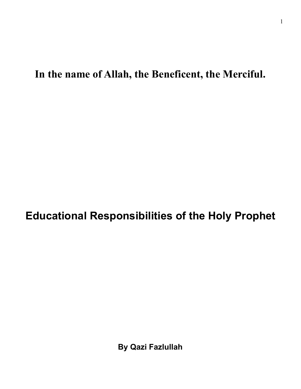**In the name of Allah, the Beneficent, the Merciful.** 

**Educational Responsibilities of the Holy Prophet** 

**By Qazi Fazlullah**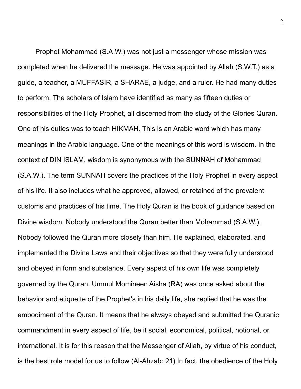Prophet Mohammad (S.A.W.) was not just a messenger whose mission was completed when he delivered the message. He was appointed by Allah (S.W.T.) as a guide, a teacher, a MUFFASIR, a SHARAE, a judge, and a ruler. He had many duties to perform. The scholars of Islam have identified as many as fifteen duties or responsibilities of the Holy Prophet, all discerned from the study of the Glories Quran. One of his duties was to teach HIKMAH. This is an Arabic word which has many meanings in the Arabic language. One of the meanings of this word is wisdom. In the context of DIN ISLAM, wisdom is synonymous with the SUNNAH of Mohammad (S.A.W.). The term SUNNAH covers the practices of the Holy Prophet in every aspect of his life. It also includes what he approved, allowed, or retained of the prevalent customs and practices of his time. The Holy Quran is the book of guidance based on Divine wisdom. Nobody understood the Quran better than Mohammad (S.A.W.). Nobody followed the Quran more closely than him. He explained, elaborated, and implemented the Divine Laws and their objectives so that they were fully understood and obeyed in form and substance. Every aspect of his own life was completely governed by the Quran. Ummul Momineen Aisha (RA) was once asked about the behavior and etiquette of the Prophet's in his daily life, she replied that he was the embodiment of the Quran. It means that he always obeyed and submitted the Quranic commandment in every aspect of life, be it social, economical, political, notional, or international. It is for this reason that the Messenger of Allah, by virtue of his conduct, is the best role model for us to follow (Al-Ahzab: 21) In fact, the obedience of the Holy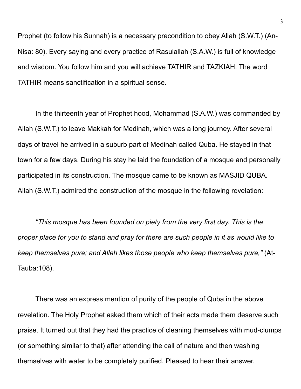Prophet (to follow his Sunnah) is a necessary precondition to obey Allah (S.W.T.) (An-Nisa: 80). Every saying and every practice of Rasulallah (S.A.W.) is full of knowledge and wisdom. You follow him and you will achieve TATHIR and TAZKIAH. The word TATHIR means sanctification in a spiritual sense.

 In the thirteenth year of Prophet hood, Mohammad (S.A.W.) was commanded by Allah (S.W.T.) to leave Makkah for Medinah, which was a long journey. After several days of travel he arrived in a suburb part of Medinah called Quba. He stayed in that town for a few days. During his stay he laid the foundation of a mosque and personally participated in its construction. The mosque came to be known as MASJID QUBA. Allah (S.W.T.) admired the construction of the mosque in the following revelation:

*"This mosque has been founded on piety from the very first day. This is the proper place for you to stand and pray for there are such people in it as would like to keep themselves pure; and Allah likes those people who keep themselves pure,"* (At-Tauba:108).

 There was an express mention of purity of the people of Quba in the above revelation. The Holy Prophet asked them which of their acts made them deserve such praise. It turned out that they had the practice of cleaning themselves with mud-clumps (or something similar to that) after attending the call of nature and then washing themselves with water to be completely purified. Pleased to hear their answer,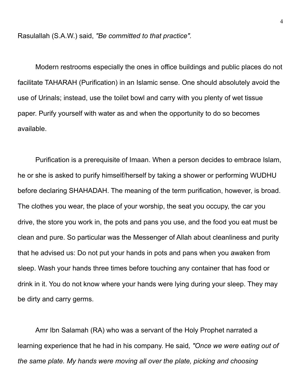Rasulallah (S.A.W.) said, *"Be committed to that practice".* 

 Modern restrooms especially the ones in office buildings and public places do not facilitate TAHARAH (Purification) in an Islamic sense. One should absolutely avoid the use of Urinals; instead, use the toilet bowl and carry with you plenty of wet tissue paper. Purify yourself with water as and when the opportunity to do so becomes available.

 Purification is a prerequisite of Imaan. When a person decides to embrace Islam, he or she is asked to purify himself/herself by taking a shower or performing WUDHU before declaring SHAHADAH. The meaning of the term purification, however, is broad. The clothes you wear, the place of your worship, the seat you occupy, the car you drive, the store you work in, the pots and pans you use, and the food you eat must be clean and pure. So particular was the Messenger of Allah about cleanliness and purity that he advised us: Do not put your hands in pots and pans when you awaken from sleep. Wash your hands three times before touching any container that has food or drink in it. You do not know where your hands were lying during your sleep. They may be dirty and carry germs.

 Amr Ibn Salamah (RA) who was a servant of the Holy Prophet narrated a learning experience that he had in his company. He said*, "Once we were eating out of the same plate. My hands were moving all over the plate, picking and choosing*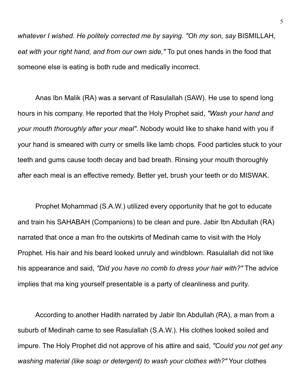*whatever I wished. He politely corrected me by saying. "Oh my son, say* BISMILLAH*, eat with your right hand, and from our own side,"* To put ones hands in the food that someone else is eating is both rude and medically incorrect.

 Anas Ibn Malik (RA) was a servant of Rasulallah (SAW). He use to spend long hours in his company. He reported that the Holy Prophet said, *"Wash your hand and your mouth thoroughly after your meal".* Nobody would like to shake hand with you if your hand is smeared with curry or smells like lamb chops. Food particles stuck to your teeth and gums cause tooth decay and bad breath. Rinsing your mouth thoroughly after each meal is an effective remedy. Better yet, brush your teeth or do MISWAK.

 Prophet Mohammad (S.A.W.) utilized every opportunity that he got to educate and train his SAHABAH (Companions) to be clean and pure. Jabir Ibn Abdullah (RA) narrated that once a man fro the outskirts of Medinah came to visit with the Holy Prophet. His hair and his beard looked unruly and windblown. Rasulallah did not like his appearance and said, *"Did you have no comb to dress your hair with?"* The advice implies that ma king yourself presentable is a party of cleanliness and purity.

 According to another Hadith narrated by Jabir Ibn Abdullah (RA), a man from a suburb of Medinah came to see Rasulallah (S.A.W.). His clothes looked soiled and impure. The Holy Prophet did not approve of his attire and said, *"Could you not get any washing material (like soap or detergent) to wash your clothes with?"* Your clothes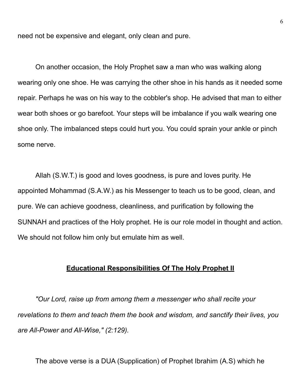need not be expensive and elegant, only clean and pure.

 On another occasion, the Holy Prophet saw a man who was walking along wearing only one shoe. He was carrying the other shoe in his hands as it needed some repair. Perhaps he was on his way to the cobbler's shop. He advised that man to either wear both shoes or go barefoot. Your steps will be imbalance if you walk wearing one shoe only. The imbalanced steps could hurt you. You could sprain your ankle or pinch some nerve.

 Allah (S.W.T.) is good and loves goodness, is pure and loves purity. He appointed Mohammad (S.A.W.) as his Messenger to teach us to be good, clean, and pure. We can achieve goodness, cleanliness, and purification by following the SUNNAH and practices of the Holy prophet. He is our role model in thought and action. We should not follow him only but emulate him as well.

## **Educational Responsibilities Of The Holy Prophet II**

*"Our Lord, raise up from among them a messenger who shall recite your revelations to them and teach them the book and wisdom, and sanctify their lives, you are All-Power and All-Wise," (2:129).*

The above verse is a DUA (Supplication) of Prophet Ibrahim (A.S) which he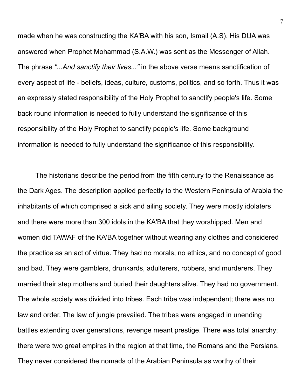made when he was constructing the KA'BA with his son, Ismail (A.S). His DUA was answered when Prophet Mohammad (S.A.W.) was sent as the Messenger of Allah. The phrase *"...And sanctify their lives..."* in the above verse means sanctification of every aspect of life - beliefs, ideas, culture, customs, politics, and so forth. Thus it was an expressly stated responsibility of the Holy Prophet to sanctify people's life. Some back round information is needed to fully understand the significance of this responsibility of the Holy Prophet to sanctify people's life. Some background information is needed to fully understand the significance of this responsibility.

 The historians describe the period from the fifth century to the Renaissance as the Dark Ages. The description applied perfectly to the Western Peninsula of Arabia the inhabitants of which comprised a sick and ailing society. They were mostly idolaters and there were more than 300 idols in the KA'BA that they worshipped. Men and women did TAWAF of the KA'BA together without wearing any clothes and considered the practice as an act of virtue. They had no morals, no ethics, and no concept of good and bad. They were gamblers, drunkards, adulterers, robbers, and murderers. They married their step mothers and buried their daughters alive. They had no government. The whole society was divided into tribes. Each tribe was independent; there was no law and order. The law of jungle prevailed. The tribes were engaged in unending battles extending over generations, revenge meant prestige. There was total anarchy; there were two great empires in the region at that time, the Romans and the Persians. They never considered the nomads of the Arabian Peninsula as worthy of their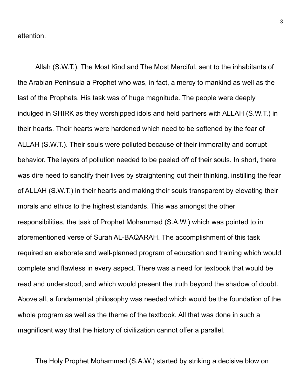attention.

 Allah (S.W.T.), The Most Kind and The Most Merciful, sent to the inhabitants of the Arabian Peninsula a Prophet who was, in fact, a mercy to mankind as well as the last of the Prophets. His task was of huge magnitude. The people were deeply indulged in SHIRK as they worshipped idols and held partners with ALLAH (S.W.T.) in their hearts. Their hearts were hardened which need to be softened by the fear of ALLAH (S.W.T.). Their souls were polluted because of their immorality and corrupt behavior. The layers of pollution needed to be peeled off of their souls. In short, there was dire need to sanctify their lives by straightening out their thinking, instilling the fear of ALLAH (S.W.T.) in their hearts and making their souls transparent by elevating their morals and ethics to the highest standards. This was amongst the other responsibilities, the task of Prophet Mohammad (S.A.W.) which was pointed to in aforementioned verse of Surah AL-BAQARAH. The accomplishment of this task required an elaborate and well-planned program of education and training which would complete and flawless in every aspect. There was a need for textbook that would be read and understood, and which would present the truth beyond the shadow of doubt. Above all, a fundamental philosophy was needed which would be the foundation of the whole program as well as the theme of the textbook. All that was done in such a magnificent way that the history of civilization cannot offer a parallel.

The Holy Prophet Mohammad (S.A.W.) started by striking a decisive blow on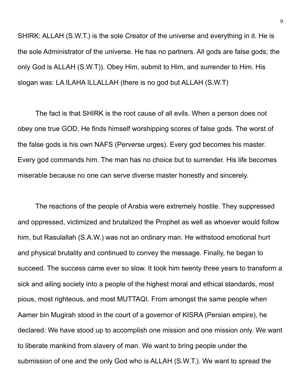SHIRK: ALLAH (S.W.T.) is the sole Creator of the universe and everything in it. He is the sole Administrator of the universe. He has no partners. All gods are false gods; the only God is ALLAH (S.W.T)). Obey Him, submit to Him, and surrender to Him. His slogan was: LA ILAHA ILLALLAH (there is no god but ALLAH (S.W.T)

 The fact is that SHIRK is the root cause of all evils. When a person does not obey one true GOD, He finds himself worshipping scores of false gods. The worst of the false gods is his own NAFS (Perverse urges). Every god becomes his master. Every god commands him. The man has no choice but to surrender. His life becomes miserable because no one can serve diverse master honestly and sincerely.

 The reactions of the people of Arabia were extremely hostile. They suppressed and oppressed, victimized and brutalized the Prophet as well as whoever would follow him, but Rasulallah (S.A.W.) was not an ordinary man. He withstood emotional hurt and physical brutality and continued to convey the message. Finally, he began to succeed. The success came ever so slow. It took him twenty three years to transform a sick and ailing society into a people of the highest moral and ethical standards, most pious, most righteous, and most MUTTAQI. From amongst the same people when Aamer bin Mugirah stood in the court of a governor of KISRA (Persian empire), he declared: We have stood up to accomplish one mission and one mission only. We want to liberate mankind from slavery of man. We want to bring people under the submission of one and the only God who is ALLAH (S.W.T.). We want to spread the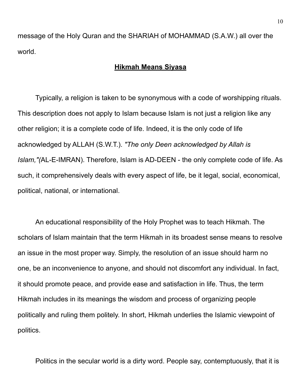message of the Holy Quran and the SHARIAH of MOHAMMAD (S.A.W.) all over the world.

## **Hikmah Means Siyasa**

 Typically, a religion is taken to be synonymous with a code of worshipping rituals. This description does not apply to Islam because Islam is not just a religion like any other religion; it is a complete code of life. Indeed, it is the only code of life acknowledged by ALLAH (S.W.T.). *"The only Deen acknowledged by Allah is Islam,"(*AL-E-IMRAN). Therefore, Islam is AD-DEEN - the only complete code of life. As such, it comprehensively deals with every aspect of life, be it legal, social, economical, political, national, or international.

 An educational responsibility of the Holy Prophet was to teach Hikmah. The scholars of Islam maintain that the term Hikmah in its broadest sense means to resolve an issue in the most proper way. Simply, the resolution of an issue should harm no one, be an inconvenience to anyone, and should not discomfort any individual. In fact, it should promote peace, and provide ease and satisfaction in life. Thus, the term Hikmah includes in its meanings the wisdom and process of organizing people politically and ruling them politely. In short, Hikmah underlies the Islamic viewpoint of politics.

Politics in the secular world is a dirty word. People say, contemptuously, that it is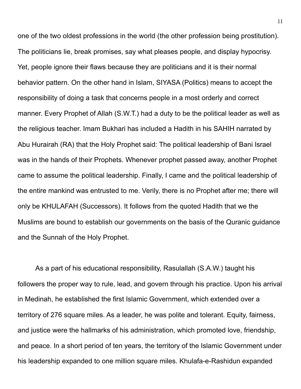one of the two oldest professions in the world (the other profession being prostitution). The politicians lie, break promises, say what pleases people, and display hypocrisy. Yet, people ignore their flaws because they are politicians and it is their normal behavior pattern. On the other hand in Islam, SIYASA (Politics) means to accept the responsibility of doing a task that concerns people in a most orderly and correct manner. Every Prophet of Allah (S.W.T.) had a duty to be the political leader as well as the religious teacher. Imam Bukhari has included a Hadith in his SAHIH narrated by Abu Hurairah (RA) that the Holy Prophet said: The political leadership of Bani Israel was in the hands of their Prophets. Whenever prophet passed away, another Prophet came to assume the political leadership. Finally, I came and the political leadership of the entire mankind was entrusted to me. Verily, there is no Prophet after me; there will only be KHULAFAH (Successors). It follows from the quoted Hadith that we the Muslims are bound to establish our governments on the basis of the Quranic guidance and the Sunnah of the Holy Prophet.

 As a part of his educational responsibility, Rasulallah (S.A.W.) taught his followers the proper way to rule, lead, and govern through his practice. Upon his arrival in Medinah, he established the first Islamic Government, which extended over a territory of 276 square miles. As a leader, he was polite and tolerant. Equity, fairness, and justice were the hallmarks of his administration, which promoted love, friendship, and peace. In a short period of ten years, the territory of the Islamic Government under his leadership expanded to one million square miles. Khulafa-e-Rashidun expanded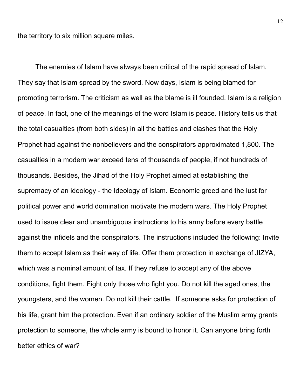the territory to six million square miles.

 The enemies of Islam have always been critical of the rapid spread of Islam. They say that Islam spread by the sword. Now days, Islam is being blamed for promoting terrorism. The criticism as well as the blame is ill founded. Islam is a religion of peace. In fact, one of the meanings of the word Islam is peace. History tells us that the total casualties (from both sides) in all the battles and clashes that the Holy Prophet had against the nonbelievers and the conspirators approximated 1,800. The casualties in a modern war exceed tens of thousands of people, if not hundreds of thousands. Besides, the Jihad of the Holy Prophet aimed at establishing the supremacy of an ideology - the Ideology of Islam. Economic greed and the lust for political power and world domination motivate the modern wars. The Holy Prophet used to issue clear and unambiguous instructions to his army before every battle against the infidels and the conspirators. The instructions included the following: Invite them to accept Islam as their way of life. Offer them protection in exchange of JIZYA, which was a nominal amount of tax. If they refuse to accept any of the above conditions, fight them. Fight only those who fight you. Do not kill the aged ones, the youngsters, and the women. Do not kill their cattle. If someone asks for protection of his life, grant him the protection. Even if an ordinary soldier of the Muslim army grants protection to someone, the whole army is bound to honor it. Can anyone bring forth better ethics of war?

12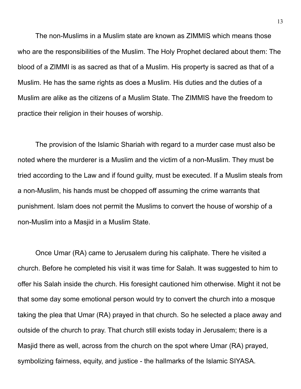The non-Muslims in a Muslim state are known as ZIMMIS which means those who are the responsibilities of the Muslim. The Holy Prophet declared about them: The blood of a ZIMMI is as sacred as that of a Muslim. His property is sacred as that of a Muslim. He has the same rights as does a Muslim. His duties and the duties of a Muslim are alike as the citizens of a Muslim State. The ZIMMIS have the freedom to practice their religion in their houses of worship.

 The provision of the Islamic Shariah with regard to a murder case must also be noted where the murderer is a Muslim and the victim of a non-Muslim. They must be tried according to the Law and if found guilty, must be executed. If a Muslim steals from a non-Muslim, his hands must be chopped off assuming the crime warrants that punishment. Islam does not permit the Muslims to convert the house of worship of a non-Muslim into a Masjid in a Muslim State.

 Once Umar (RA) came to Jerusalem during his caliphate. There he visited a church. Before he completed his visit it was time for Salah. It was suggested to him to offer his Salah inside the church. His foresight cautioned him otherwise. Might it not be that some day some emotional person would try to convert the church into a mosque taking the plea that Umar (RA) prayed in that church. So he selected a place away and outside of the church to pray. That church still exists today in Jerusalem; there is a Masjid there as well, across from the church on the spot where Umar (RA) prayed, symbolizing fairness, equity, and justice - the hallmarks of the Islamic SIYASA.